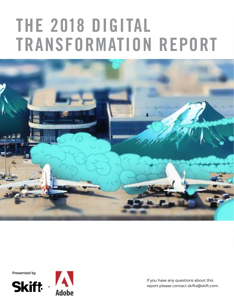# THE 2018 DIGITAL TRANSFORMATION REPORT



Presented by

Skift +



If you have any questions about this report please contact skiftx@skift.com.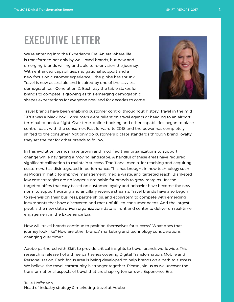### EXECUTIVE LETTER

We're entering into the Experience Era: An era where life is transformed not only by well loved brands, but new and emerging brands willing and able to re-envision the journey. With enhanced capabilities, navigational support and a new focus on customer experience,… the globe has shrunk. Travel is now accessible and inspired by one of the savviest demographics – Generation Z. Each day the table stakes for brands to compete is growing as this emerging demographic shapes expectations for everyone now and for decades to come.



Travel brands have been enabling customer control throughout history. Travel in the mid 1970s was a black box. Consumers were reliant on travel agents or heading to an airport terminal to book a flight. Over time, online booking and other capabilities began to place control back with the consumer. Fast forward to 2018 and the power has completely shifted to the consumer. Not only do customers dictate standards through brand loyalty, they set the bar for other brands to follow.

In this evolution, brands have grown and modified their organizations to support change while navigating a moving landscape. A handful of these areas have required significant calibration to maintain success. Traditional media, for reaching and acquiring customers, has disintegrated in performance. This has brought in new technology such as Programmatic to improve management, media waste, and targeted reach. Blanketed low cost strategies are no longer sustainable for brands to grow margins. Insead, targeted offers that vary based on customer loyalty and behavior have become the new norm to support existing and ancillary revenue streams. Travel brands have also begun to re-envision their business, partnerships, and ecosystem to compete with emerging incumbents that have discovered and met unfulfilled consumer needs. And the largest pivot is the new data driven organization: data is front and center to deliver on real-time engagement in the Experience Era.

How will travel brands continue to position themselves for success? What does that journey look like? How are other brands' marketing and technology considerations changing over time?

Adobe partnered with Skift to provide critical insights to travel brands worldwide. This research is release 1 of a three part series covering Digital Transformation, Mobile and Personalization. Each focus area is being developed to help brands on a path to success. We believe the travel community is stronger together. Please join us as we uncover the transformational aspects of travel that are shaping tomorrow's Experience Era.

Julie Hoffmann, Head of industry strategy & marketing, travel at Adobe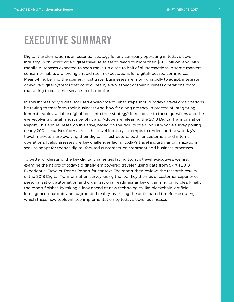### EXECUTIVE SUMMARY

Digital transformation is an essential strategy for any company operating in today's travel industry. With worldwide digital travel sales set to reach to more than \$600 billion, and with mobile purchases expected to soon make up close to half of all transactions in some markets, consumer habits are forcing a rapid rise in expectations for digital-focused commerce. Meanwhile, behind the scenes, most travel businesses are moving rapidly to adapt, integrate, or evolve digital systems that control nearly every aspect of their business operations, from marketing to customer service to distribution.

In this increasingly digital-focused environment, what steps should today's travel organizations be taking to transform their business? And how far along are they in process of integrating innumberable available digital tools into their strategy? In response to these questions and the ever-evolving digital landscape, Skift and Adobe are releasing the 2018 Digital Transformation Report. This annual research initiative, based on the results of an industry-wide survey polling nearly 200 executives from across the travel industry, attempts to understand how today's travel marketers are evolving their digital infrastructure, both for customers and internal operations. It also assesses the key challenges facing today's travel industry as organizations seek to adapt for today's digital-focused customers, environment and business processes.

To better understand the key digital challenges facing today's travel executives, we first examine the habits of today's digitally-empowered traveler, using data from Skift's 2018 Experiential Traveler Trends Report for context. The report then reviews the research results of the 2018 Digital Transformation survey, using the four key themes of customer experience, personalization, automation and organizational readiness as key organizing principles. Finally, the report finishes by taking a look ahead at new technologies like blockchain, artificial intelligence, chatbots and augmented reality, assessing the anticipated timeframe during which these new tools will see implementation by today's travel businesses.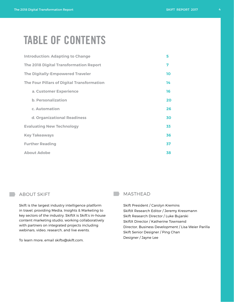### TABLE OF CONTENTS

| <b>Introduction: Adapting to Change</b>           | 5  |
|---------------------------------------------------|----|
| <b>The 2018 Digital Transformation Report</b>     | 7  |
| The Digitally-Empowered Traveler                  | 10 |
| <b>The Four Pillars of Digital Transformation</b> | 14 |
| a. Customer Experience                            | 16 |
| <b>b.</b> Personalization                         | 20 |
| c. Automation                                     | 26 |
| d. Organizational Readiness                       | 30 |
| <b>Evaluating New Technology</b>                  | 33 |
| <b>Key Takeaways</b>                              | 36 |
| <b>Further Reading</b>                            | 37 |
| <b>About Adobe</b>                                | 38 |

#### ABOUT SKIFT

Skift is the largest industry intelligence platform in travel, providing Media, Insights & Marketing to key sectors of the industry. SkiftX is Skift's in-house content marketing studio, working collaboratively with partners on integrated projects including webinars, video, research, and live events.

To learn more, email skiftx@skift.com.

#### **MASTHEAD**

Skift President / Carolyn Kremins SkiftX Research Editor / Jeremy Kressmann Skift Research Director / Luke Bujarski SkiftX Director / Katherine Townsend Director, Business Development / Lisa Weier Parilla Skift Senior Designer / Ping Chan Designer / Jayne Lee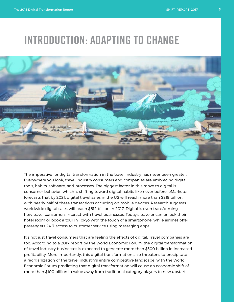# INTRODUCTION: ADAPTING TO CHANGE



The imperative for digital transformation in the travel industry has never been greater. Everywhere you look, travel industry consumers and companies are embracing digital tools, habits, software, and processes. The biggest factor in this move to digital is consumer behavior, which is shifting toward digital habits like never before. eMarketer forecasts that by 2021, digital travel sales in the US will reach more than \$219 billion, with nearly half of these transactions occurring on mobile devices. Research suggests worldwide digital sales will reach \$612 billion in 2017. Digital is even transforming how travel consumers interact with travel businesses. Today's traveler can unlock their hotel room or book a tour in Tokyo with the touch of a smartphone, while airlines offer passengers 24-7 access to customer service using messaging apps.

It's not just travel consumers that are feeling the effects of digital. Travel companies are too. According to a 2017 report by the World Economic Forum, the digital transformation of travel industry businesses is expected to generate more than \$300 billion in increased profitability. More importantly, this digital transformation also threatens to precipitate a reorganization of the travel industry's entire competitive landscape, with the World Economic Forum predicting that digital transformation will cause an economic shift of more than \$100 billion in value away from traditional category players to new upstarts.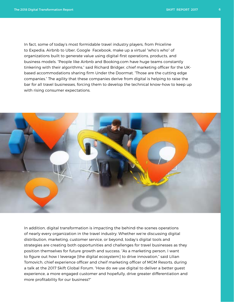In fact, some of today's most formidable travel industry players, from Priceline to Expedia, Airbnb to Uber, Google Facebook, make up a virtual "who's who" of organizations built to generate value using digital-first operations, products, and business models. "People like Airbnb and Booking.com have huge teams constantly tinkering with their algorithms," said Richard Bridger, chief marketing officer for the UKbased accommodations sharing firm Under the Doormat. "Those are the cutting edge companies." The agility that these companies derive from digital is helping to raise the bar for all travel businesses, forcing them to develop the technical know-how to keep up with rising consumer expectations.



In addition, digital transformation is impacting the behind-the-scenes operations of nearly every organization in the travel industry. Whether we're discussing digital distribution, marketing, customer service, or beyond, today's digital tools and strategies are creating both opportunities and challenges for travel businesses as they position themselves for future growth and success. "As a marketing person, I want to figure out how I leverage [the digital ecosystem] to drive innovation," said Lilian Tomovich, chief experience officer and cheif marketing officer of MGM Resorts, during a talk at the 2017 Skift Global Forum. "How do we use digital to deliver a better guest experience, a more engaged customer and hopefully, drive greater differentiation and more profitability for our business?"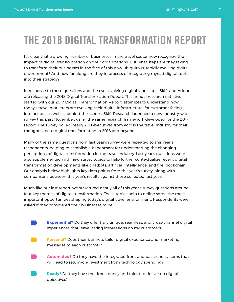# THE 2018 DIGITAL TRANSFORMATION REPORT

It's clear that a growing number of businesses in the travel sector now recognize the impact of digital transformation on their organizations. But what steps are they taking to transform their businesses in the face of this now-ubiquitous, rapidly evolving digital environment? And how far along are they in process of integrating myriad digital tools into their strategy?

In response to these questions and the ever-evolving digital landscape, Skift and Adobe are releasing the 2018 Digital Transformation Report. This annual research initiative, started with our 2017 Digital Transformation Report, attempts to understand how today's travel marketers are evolving their digital infrastructure, for customer-facing interactions as well as behind the scenes. Skift Research launched a new industry-wide survey this past November, using the same research framework developed for the 2017 report. The survey polled nearly 200 executives from across the travel industry for their thoughts about digital transformation in 2018 and beyond.

Many of the same questions from last year's survey were repeated to this year's respondents, helping to establish a benchmark for understanding the changing perceptions of digital transformation in the travel industry. Last year's questions were also supplemented with new survey topics to help further contextualize recent digital transformation developments like chatbots, artificial intelligence, and the blockchain. Our analysis below highlights key data points from this year's survey, along with comparisons between this year's results against those collected last year.

Much like our last report, we structured nearly all of this year's survey questions around four key themes of digital transformation. These topics help to define some the most important opportunities shaping today's digital travel environment. Respondents were asked if they considered their businesses to be:

- **Experiential?** Do they offer truly unique, seamless, and cross-channel digital experiences that leave lasting impressions on my customers?
	- **Personal?** Does their business tailor digital experience and marketing messages to each customer?
	- **Automated?** Do they have the integrated front and back-end systems that will lead to return-on-investment from technology spending?
- **Ready?** Do they have the time, money and talent to deliver on digital objectives?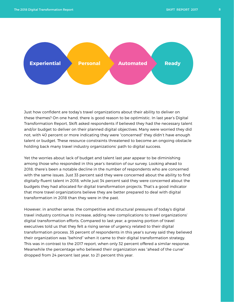



Just how confident are today's travel organizations about their ability to deliver on these themes? On one hand, there is good reason to be optimistic. In last year's Digital Transformation Report, Skift asked respondents if believed they had the necessary talent and/or budget to deliver on their planned digital objectives. Many were worried they did not, with 40 percent or more indicating they were "concerned" they didn't have enough talent or budget. These resource constraints threatened to become an ongoing obstacle holding back many travel industry organizations' path to digital success.

Yet the worries about lack of budget and talent last year appear to be diminishing among those who responded in this year's iteration of our survey. Looking ahead to 2018, there's been a notable decline in the number of respondents who are concerned with the same issues. Just 33 percent said they were concerned about the ability to find digitally-fluent talent in 2018, while just 34 percent said they were concerned about the budgets they had allocated for digital transformation projects. That's a good indicator that more travel organizations believe they are better prepared to deal with digital transformation in 2018 than they were in the past.

However, in another sense, the competitive and structural pressures of today's digital travel industry continue to increase, adding new complications to travel organizations' digital transformation efforts. Compared to last year, a growing portion of travel executives told us that they felt a rising sense of urgency related to their digital transformation process. 35 percent of respondents in this year's survey said they believed their organization was "behind" when it came to their digital transformation strategy. This was in contrast to the 2017 report, when only 32 percent offered a similar response. Meanwhile the percentage who believed their organization was "ahead of the curve" dropped from 24 percent last year, to 21 percent this year.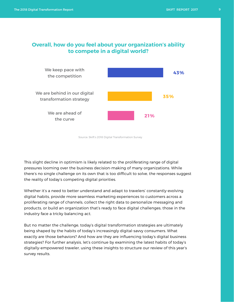### **Overall, how do you feel about your organization's ability to compete in a digital world?**



Source: Skift's 2018 Digital Transformation Survey

This slight decline in optimism is likely related to the proliferating range of digital pressures looming over the business decision-making of many organizations. While there's no single challenge on its own that is too difficult to solve, the responses suggest the reality of today's competing digital priorities.

Whether it's a need to better understand and adapt to travelers' constantly-evolving digital habits, provide more seamless marketing experiences to customers across a proliferating range of channels, collect the right data to personalize messaging and products, or build an organization that's ready to face digital challenges, those in the industry face a tricky balancing act.

But no matter the challenge, today's digital transformation strategies are ultimately being shaped by the habits of today's increasingly digital-savvy consumers. What exactly are those behaviors? And how are they are influencing today's digital business strategies? For further analysis, let's continue by examining the latest habits of today's digitally-empowered traveler, using these insights to structure our review of this year's survey results.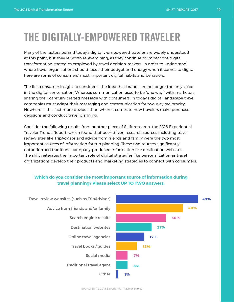# THE DIGITALLY-EMPOWERED TRAVELER

Many of the factors behind today's digitally-empowered traveler are widely understood at this point, but they're worth re-examining, as they continue to impact the digital transformation strategies employed by travel decision-makers. In order to understand where travel organizations should focus their budget and energy when it comes to digital, here are some of consumers' most important digital habits and behaviors.

The first consumer insight to consider is the idea that brands are no longer the only voice in the digital conversation. Whereas communication used to be "one way," with marketers sharing their carefully-crafted message with consumers, in today's digital landscape travel companies must adapt their messaging and communication for two-way reciprocity. Nowhere is this fact more obvious than when it comes to how travelers make purchase decisions and conduct travel planning.

Consider the following results from another piece of Skift research, the 2018 Experiential Traveler Trends Report, which found that peer-driven research sources including travel review sites like TripAdvisor and advice from friends and family were the two most important sources of information for trip planning. These two sources significantly outperformed traditional company-produced information like destination websites. The shift reiterates the important role of digital strategies like personalization as travel organizations develop their products and marketing strategies to connect with consumers.

#### **Which do you consider the most important source of information during travel planning? Please select UP TO TWO answers.**



Source: Skift's 2018 Experiential Traveler Survey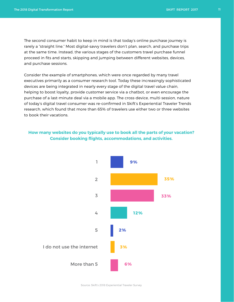The second consumer habit to keep in mind is that today's online purchase journey is rarely a "straight line." Most digital-savvy travelers don't plan, search, and purchase trips at the same time. Instead, the various stages of the customers travel purchase funnel proceed in fits and starts, skipping and jumping between different websites, devices, and purchase sessions.

Consider the example of smartphones, which were once regarded by many travel executives primarily as a consumer research tool. Today these increasingly sophisticated devices are being integrated in nearly every stage of the digital travel value chain, helping to boost loyalty, provide customer service via a chatbot, or even encourage the purchase of a last-minute deal via a mobile app. The cross-device, multi-session, nature of today's digital travel consumer was re-confirmed in Skift's Experiential Traveler Trends research, which found that more than 65% of travelers use either two or three websites to book their vacations.

#### **How many websites do you typically use to book all the parts of your vacation? Consider booking flights, accommodations, and activities.**



Source: Skift's 2018 Experiential Traveler Survey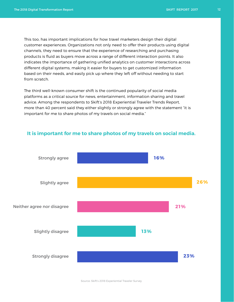This too, has important implications for how travel marketers design their digital customer experiences. Organizations not only need to offer their products using digital channels, they need to ensure that the experience of researching and purchasing products is fluid as buyers move across a range of different interaction points. It also indicates the importance of gathering unified analytics on customer interactions across different digital systems, making it easier for buyers to get customized information based on their needs, and easily pick up where they left off without needing to start from scratch.

The third well-known consumer shift is the continued popularity of social media platforms as a critical source for news, entertainment, information sharing and travel advice. Among the respondents to Skift's 2018 Experiential Traveler Trends Report, more than 40 percent said they either slightly or strongly agree with the statement "it is important for me to share photos of my travels on social media."



#### **It is important for me to share photos of my travels on social media.**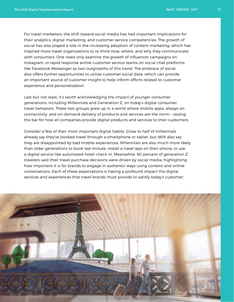For travel marketers, the shift toward social media has had important implications for their analytics, digital marketing, and customer service competencies. The growth of social has also played a role in the increasing adoption of content marketing, which has inspired more travel organizations to re-think how, where, and why they communicate with consumers. One need only examine the growth of influencer campaigns on Instagram, or rapid-response airline customer service teams on social chat platforms like Facebook Messenger as two outgrowths of this trend. The embrace of social also offers further opportunities to utilize customer social data, which can provide an important source of customer insight to help inform efforts related to customer experience and personalization.

Last but not least, it's worth acknowledging the impact of younger consumer generations, including Millennials and Generation Z, on today's digital consumer travel behaviors. These two groups grew up in a world where mobile apps, always-on connectivity, and on-demand delivery of products and services are the norm – raising the bar for how all companies provide digital products and services to their customers.

Consider a few of their most important digital habits. Close to half of millennials already say they've booked travel through a smartphone or tablet, but 86% also say they are disappointed by bad mobile experiences. Millennials are also much more likely than older generations to book last minute, install a travel app on their phone, or use a digital service like automated hotel check-in. Meanwhile, 90 percent of generation Z travelers said their travel purchase decisions were driven by social media, highlighting how important it is for brands to engage in authentic ways using content and online conversations. Each of these expectations is having a profound impact the digital services and experiences that travel brands must provide to satisfy today's customer.

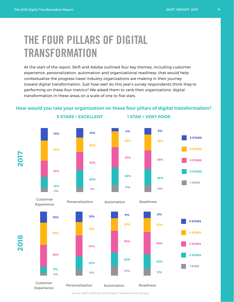# THE FOUR PILLARS OF DIGITAL **TRANSFORMATION**

At the start of the report, Skift and Adobe outlined four key themes, including customer experience, personalization, automation and organizational readiness, that would help contextualize the progress travel industry organizations are making in their journey toward digital transformation. Just how well do this year's survey respondents think they're performing on these four metrics? We asked them to rank their organizations' digital transformation in these areas on a scale of one to five stars.

#### **How would you rate your organization on these four pillars of digital transformation?**



**2018**



**5 STARS = EXCELLENT 1 STAR = VERY POOR**

**12%**

**20%**

**32%**

**28%**

**7%**



Customer







Experience

Source: Skift's 2017 and 2018 Digital Transformation Surveys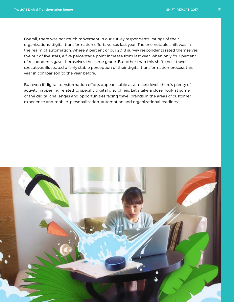Overall, there was not much movement in our survey respondents' ratings of their organizations' digital transformation efforts versus last year. The one notable shift was in the realm of automation, where 9 percent of our 2018 survey respondents rated themselves five out of five stars, a five percentage point increase from last year, when only four percent of respondents gave themselves the same grade. But other than this shift, most travel executives illustrated a fairly stable perception of their digital transformation process this year in comparison to the year before.

But even if digital transformation efforts appear stable at a macro level, there's plenty of activity happening related to specific digital disciplines. Let's take a closer look at some of the digital challenges and opportunities facing travel brands in the areas of customer experience and mobile, personalization, automation and organizational readiness.

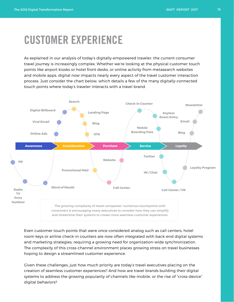### CUSTOMER EXPERIENCE

As explained in our analysis of today's digitally-empowered traveler, the current consumer travel journey is increasingly complex. Whether we're looking at the physical customer touch points like airport kiosks or hotel front desks, or online activity from metasearch websites and mobile apps, digital now impacts nearly every aspect of the travel customer interaction process. Just consider the chart below, which details a few of the many digitally-connected touch points where today's traveler interacts with a travel brand.



Even customer touch points that were once considered analog such as call centers, hotel room keys or airline check-in counters are now often integrated with back-end digital systems and marketing strategies, requiring a growing need for organization-wide synchronization. The complexity of this cross-channel environment places growing stress on travel businesses hoping to design a streamlined customer experience.

Given these challenges, just how much priority are today's travel executives placing on the creation of seamless customer experiences? And how are travel brands building their digital systems to address the growing popularity of channels like mobile, or the rise of "cross-device" digital behaviors?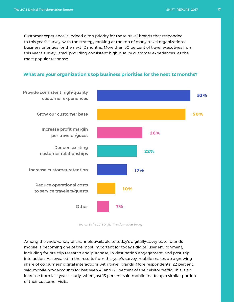Customer experience is indeed a top priority for those travel brands that responded to this year's survey, with the strategy ranking at the top of many travel organizations' business priorities for the next 12 months. More than 50 percent of travel executives from this year's survey listed "providing consistent high-quality customer experiences" as the most popular response.

#### **What are your organization's top business priorities for the next 12 months?**



Source: Skift's 2018 Digital Transformation Survey

Among the wide variety of channels available to today's digitally-savvy travel brands, mobile is becoming one of the most important for today's digital user environment, including for pre-trip research and purchase, in-destination engagement, and post-trip interaction. As revealed in the results from this year's survey, mobile makes up a growing share of consumers' digital interactions with travel brands. More respondents (22 percent) said mobile now accounts for between 41 and 60 percent of their visitor traffic. This is an increase from last year's study, when just 13 percent said mobile made up a similar portion of their customer visits.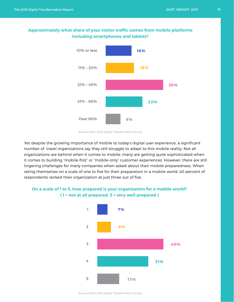#### **Approximately what share of your visitor traffic comes from mobile platforms including smartphones and tablets?**



Source: Skift's 2018 Digital Transformation Survey

Yet despite the growing importance of mobile to today's digital user experience, a significant number of travel organizations say they still struggle to adapt to this mobile reality. Not all organizations are behind when it comes to mobile: many are getting quite sophisticated when it comes to building "mobile-first" or "mobile-only" customer experiences. However, there are still lingering challenges for many companies when asked about their mobile preparedness. When rating themselves on a scale of one to five for their preparation in a mobile world, 40 percent of respondents ranked their organization at just three out of five.

### **On a scale of 1 to 5, how prepared is your organization for a mobile world? ( 1 = not at all prepared, 5 = very well prepared )**



Source: Skift's 2018 Digital Transformation Survey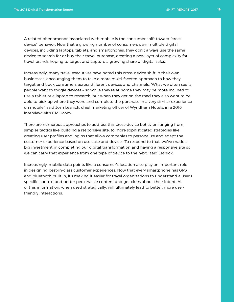A related phenomenon associated with mobile is the consumer shift toward "crossdevice" behavior. Now that a growing number of consumers own multiple digital devices, including laptops, tablets, and smartphones, they don't always use the same device to search for or buy their travel purchase, creating a new layer of complexity for travel brands hoping to target and capture a growing share of digital sales.

Increasingly, many travel executives have noted this cross-device shift in their own businesses, encouraging them to take a more multi-faceted approach to how they target and track consumers across different devices and channels. "What we often see is people want to toggle devices – so while they're at home they may be more inclined to use a tablet or a laptop to research, but when they get on the road they also want to be able to pick up where they were and complete the purchase in a very similar experience on mobile," said Josh Lesnick, chief marketing officer of Wyndham Hotels, in a 2016 interview with CMO.com.

There are numerous approaches to address this cross-device behavior, ranging from simpler tactics like building a responsive site, to more sophisticated strategies like creating user profiles and logins that allow companies to personalize and adapt the customer experience based on use case and device. "To respond to that, we've made a big investment in completing our digital transformation and having a responsive site so we can carry that experience from one type of device to the next," said Lesnick.

Increasingly, mobile data points like a consumer's location also play an important role in designing best-in-class customer experiences. Now that every smartphone has GPS and bluetooth built in, it's making it easier for travel organizations to understand a user's specific context and better personalize content and get clues about their intent. All of this information, when used strategically, will ultimately lead to better, more userfriendly interactions.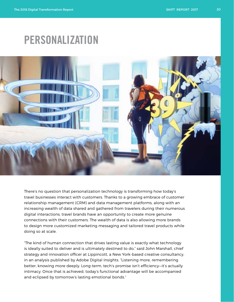### PERSONALIZATION



There's no question that personalization technology is transforming how today's travel businesses interact with customers. Thanks to a growing embrace of customer relationship management (CRM) and data management platforms, along with an increasing wealth of data shared and gathered from travelers during their numerous digital interactions, travel brands have an opportunity to create more genuine connections with their customers. The wealth of data is also allowing more brands to design more customized marketing messaging and tailored travel products while doing so at scale.

"The kind of human connection that drives lasting value is exactly what technology is ideally suited to deliver and is ultimately destined to do," said John Marshall, chief strategy and innovation officer at Lippincott, a New York-based creative consultancy, in an [analysis published by Adobe Digital Insights.](https://www.adobe.com/experience-cloud/articles/solving-travels-biggest-problems-with-a-digital-foundation.html) "Listening more, remembering better, knowing more deeply. Long-term, tech's promise isn't efficiency—it's actually intimacy. Once that is achieved, today's functional advantage will be accompanied and eclipsed by tomorrow's lasting emotional bonds."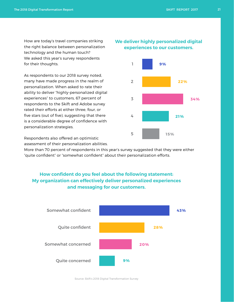How are today's travel companies striking the right balance between personalization technology and the human touch? We asked this year's survey respondents for their thoughts.

As respondents to our 2018 survey noted, many have made progress in the realm of personalization. When asked to rate their ability to deliver "highly-personalized digital experiences" to customers, 67 percent of respondents to the Skift and Adobe survey rated their efforts at either three, four, or five stars (out of five), suggesting that there is a considerable degree of confidence with personalization strategies.

Respondents also offered an optimistic assessment of their personalization abilities.

More than 70 percent of respondents in this year's survey suggested that they were either "quite confident" or "somewhat confident" about their personalization efforts.

### **How confident do you feel about the following statement: My organization can effectively deliver personalized experiences and messaging for our customers.**



#### **We deliver highly personalized digital experiences to our customers.**



Source: Skift's 2018 Digital Transformation Survey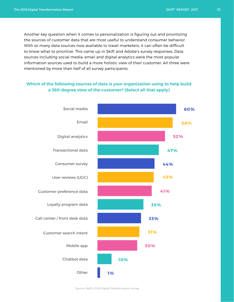Another key question when it comes to personalization is figuring out and prioritizing the sources of customer data that are most useful to understand consumer behavior. With so many data sources now available to travel marketers, it can often be difficult to know what to prioritize. This came up in Skift and Adobe's survey responses. Data sources including social media, email and digital analytics were the most popular information sources used to build a more holistic view of their customer. All three were mentioned by more than half of all survey participants.

#### **Which of the following sources of data is your organization using to help build a 360-degree view of the customer? (Select all that apply)**



Source: Skift's 2018 Digital Transformation Survey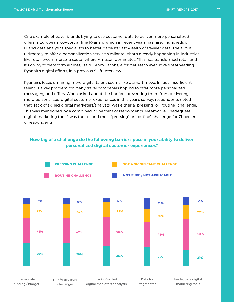One example of travel brands trying to use customer data to deliver more personalized offers is European low-cost airline Ryanair, which in recent years has hired hundreds of IT and data analytics specialists to better parse its vast wealth of traveler data. The aim is ultimately to offer a personalization service similar to what's already happening in industries like retail e-commerce, a sector where Amazon dominates. "This has transformed retail and it's going to transform airlines," said Kenny Jacobs, a former Tesco executive spearheading Ryanair's digital efforts, in a previous Skift interview.

Ryanair's focus on hiring more digital talent seems like a smart move. In fact, insufficient talent is a key problem for many travel companies hoping to offer more personalized messaging and offers. When asked about the barriers preventing them from delivering more personalized digital customer experiences in this year's survey, respondents noted that "lack of skilled digital marketers/analysts" was either a "pressing" or "routine" challenge. This was mentioned by a combined 72 percent of respondents. Meanwhile, "inadequate digital marketing tools" was the second most "pressing" or "routine" challenge for 71 percent of respondents.

#### **How big of a challenge do the following barriers pose in your ability to deliver personalized digital customer experiences?**

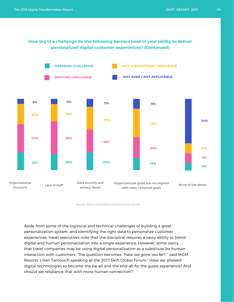#### **How big of a challenge do the following barriers pose in your ability to deliver personalized digital customer experiences? (Continued)**



Source: Skift's 2018 Digital Transformation Survey

Aside from some of the logistical and technical challenges of building a great personalization system, and identifying the right data to personalize customer experiences, travel executives note that the discipline requires a savvy ability to blend digital and human personalization into a single experience. However, some worry that travel companies may be using digital personalization as a substitute for human interaction with customers. "The question becomes, 'have we gone too far?,'" said MGM Resorts' Lilian Tomovich speaking at the 2017 Skift Global Forum." Have we allowed digital technologies to become the be-all and the end-all for the guest experience? And should we rebalance that with more human connection?"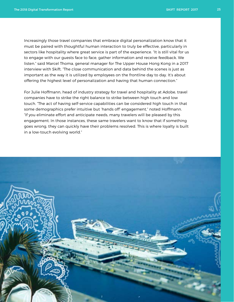Increasingly those travel companies that embrace digital personalization know that it must be paired with thoughtful human interaction to truly be effective, particularly in sectors like hospitality where great service is part of the experience. "It is still vital for us to engage with our guests face to face, gather information and receive feedback. We listen." said Marcel Thoma, general manager for The Upper House Hong Kong in a 2017 interview with Skift. "The close communication and data behind the scenes is just as important as the way it is utilized by employees on the frontline day to day. It's about offering the highest level of personalization and having that human connection."

For Julie Hoffmann, head of industry strategy for travel and hospitality at Adobe, travel companies have to strike the right balance to strike between high touch and low touch. "The act of having self-service capabilities can be considered high touch in that some demographics prefer intuitive but 'hands off' engagement," noted Hoffmann. "If you eliminate effort and anticipate needs, many travelers will be pleased by this engagement. In those instances, these same travelers want to know that if something goes wrong, they can quickly have their problems resolved. This is where loyalty is built in a low-touch evolving world."

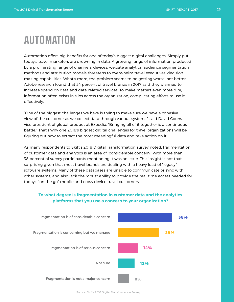### AUTOMATION

Automation offers big benefits for one of today's biggest digital challenges. Simply put, today's travel marketers are drowning in data. A growing range of information produced by a proliferating range of channels, devices, website analytics, audience segmentation methods and attribution models threatens to overwhelm travel executives' decisionmaking capabilities. What's more, the problem seems to be getting worse, not better: Adobe research found that 54 percent of travel brands in 2017 said they planned to increase spend on data and data-related services. To make matters even more dire, information often exists in silos across the organization, complicating efforts to use it effectively.

"One of the biggest challenges we have is trying to make sure we have a cohesive view of the customer as we collect data through various systems," said David Coons, vice president of global product at Expedia. "Bringing all of it together is a continuous battle." That's why one 2018's biggest digital challenges for travel organizations will be figuring out how to extract the most meaningful data and take action on it.

As many respondents to Skift's 2018 Digital Transformation survey noted, fragmentation of customer data and analytics is an area of "considerable concern," with more than 38 percent of survey participants mentioning it was an issue. This insight is not that surprising given that most travel brands are dealing with a heavy load of "legacy" software systems. Many of these databases are unable to communicate or sync with other systems, and also lack the robust ability to provide the real-time access needed for today's "on the go" mobile and cross-device travel customers.



#### **To what degree is fragmentation in customer data and the analytics platforms that you use a concern to your organization?**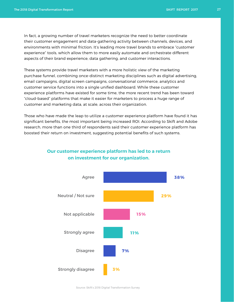In fact, a growing number of travel marketers recognize the need to better coordinate their customer engagement and data-gathering activity between channels, devices, and environments with minimal friction. It's leading more travel brands to embrace "customer experience" tools, which allow them to more easily automate and orchestrate different aspects of their brand experience, data gathering, and customer interactions.

These systems provide travel marketers with a more holistic view of the marketing purchase funnel, combining once-distinct marketing disciplines such as digital advertising, email campaigns, digital screen campaigns, conversational commerce, analytics and customer service functions into a single unified dashboard. While these customer experience platforms have existed for some time, the more recent trend has been toward "cloud-based" platforms that make it easier for marketers to process a huge range of customer and marketing data, at scale, across their organization.

Those who have made the leap to utilize a customer experience platform have found it has significant benefits, the most important being increased ROI. According to Skift and Adobe research, more than one third of respondents said their customer experience platform has boosted their return on investment, suggesting potential benefits of such systems.



### **Our customer experience platform has led to a return on investment for our organization.**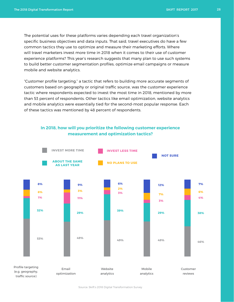The potential uses for these platforms varies depending each travel organization's specific business objectives and data inputs. That said, travel executives do have a few common tactics they use to optimize and measure their marketing efforts. Where will travel marketers invest more time in 2018 when it comes to their use of customer experience platforms? This year's research suggests that many plan to use such systems to build better customer segmentation profiles, optimize email campaigns or measure mobile and website analytics.

"Customer profile targeting," a tactic that refers to building more accurate segments of customers based on geography or original traffic source, was the customer experience tactic where respondents expected to invest the most time in 2018, mentioned by more than 53 percent of respondents. Other tactics like email optimization, website analytics and mobile analytics were essentially tied for the second-most popular response. Each of these tactics was mentioned by 48 percent of respondents.

#### **In 2018, how will you prioritize the following customer experience measurement and optimization tactics?**

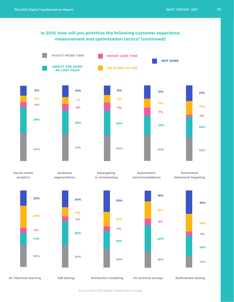### **In 2018, how will you prioritize the following customer experience measurement and optimization tactics? (continued)**

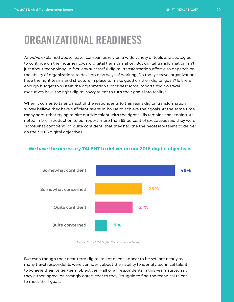# ORGANIZATIONAL READINESS

As we've explained above, travel companies rely on a wide variety of tools and strategies to continue on their journey toward digital transformation. But digital transformation isn't just about technology. In fact, any successful digital transformation effort also depends on the ability of organizations to develop new ways of working. Do today's travel organizations have the right teams and structure in place to make good on their digital goals? Is there enough budget to sustain the organization's priorities? Most importantly, do travel executives have the right digital-savvy talent to turn their goals into reality?

When it comes to talent, most of the respondents to this year's digital transformation survey believe they have sufficient talent in-house to achieve their goals. At the same time, many admit that trying to hire outside talent with the right skills remains challenging. As noted in the introduction to our report, more than 65 percent of executives said they were "somewhat confident" or "quite confident" that they had the the necessary talent to deliver on their 2018 digital objectives.



#### **We have the necessary TALENT to deliver on our 2018 digital objectives.**

Source: Skift's 2018 Digital Transformation Survey

But even though their near-term digital talent needs appear to be set, not nearly as many travel respondents were confident about their ability to identify technical talent to achieve their longer-term objectives. Half of all respondents in this year's survey said they either "agree" or "strongly agree" that to they "struggle to find the technical talent" to meet their goals.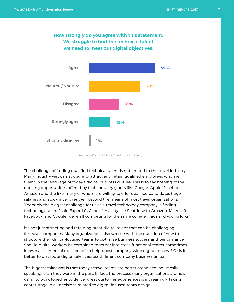### **How strongly do you agree with this statement: We struggle to find the technical talent**

**we need to meet our digital objectives.**



Source: Skift's 2018 Digital Transformation Survey

The challenge of finding qualified technical talent is not limited to the travel industry. Many industry verticals struggle to attract and retain qualified employees who are fluent in the language of today's digital business culture. This is to say nothing of the enticing opportunities offered by tech industry giants like Google, Apple, Facebook, Amazon and the like, many of whom are willing to offer qualified candidates huge salaries and stock incentives well beyond the means of most travel organizations. "Probably the biggest challenge for us as a travel technology company is finding technology talent," said Expedia's Coons. "In a city like Seattle with Amazon, Microsoft, Facebook, and Google, we're all competing for the same college grads and young folks."

It's not just attracting and retaining great digital talent that can be challenging for travel companies. Many organizations also wrestle with the question of how to structure their digital-focused teams to optimize business success and performance. Should digital workers be combined together into cross-functional teams, sometimes known as "centers of excellence," to help boost company-wide digital success? Or is it better to distribute digital talent across different company business units?

The biggest takeaway is that today's travel teams are better organized, holistically speaking, than they were in the past. In fact, the process many organizations are now using to work together to deliver great customer experiences is increasingly taking center stage in all decisions related to digital-focused team design.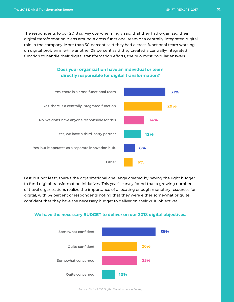The respondents to our 2018 survey overwhelmingly said that they had organized their

digital transformation plans around a cross-functional team or a centrally-integrated digital role in the company. More than 30 percent said they had a cross-functional team working on digital problems, while another 28 percent said they created a centrally-integrated function to handle their digital transformation efforts, the two most popular answers.



Last but not least, there's the organizational challenge created by having the right budget to fund digital transformation initiatives. This year's survey found that a growing number of travel organizations realize the importance of allocating enough monetary resources for digital, with 64 percent of respondents noting that they were either somewhat or quite confident that they have the necessary budget to deliver on their 2018 objectives.

#### **We have the necessary BUDGET to deliver on our 2018 digital objectives.**



Source: Skift's 2018 Digital Transformation Survey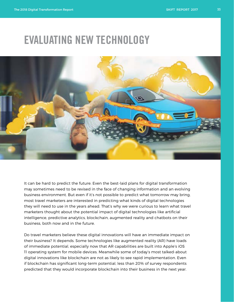# EVALUATING NEW TECHNOLOGY



It can be hard to predict the future. Even the best-laid plans for digital transformation may sometimes need to be revised in the face of changing information and an evolving business environment. But even if it's not possible to predict what tomorrow may bring, most travel marketers are interested in predicting what kinds of digital technologies they will need to use in the years ahead. That's why we were curious to learn what travel marketers thought about the potential impact of digital technologies like artificial intelligence, predictive analytics, blockchain, augmented reality and chatbots on their business, both now and in the future.

Do travel marketers believe these digital innovations will have an immediate impact on their business? It depends. Some technologies like augmented reality (AR) have loads of immediate potential, especially now that AR capabilities are built into Apple's iOS 11 operating system for mobile devices. Meanwhile some of today's most talked-about digital innovations like blockchain are not as likely to see rapid implementation. Even if blockchain has significant long-term potential, less than 20% of survey respondents predicted that they would incorporate blockchain into their business in the next year.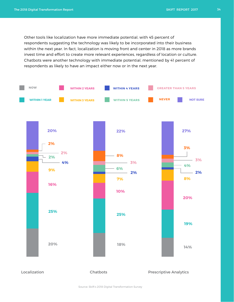Other tools like localization have more immediate potential, with 45 percent of respondents suggesting the technology was likely to be incorporated into their business within the next year. In fact, localization is moving front and center in 2018 as more brands invest time and effort to create more relevant experiences, regardless of location or culture. Chatbots were another technology with immediate potential, mentioned by 41 percent of respondents as likely to have an impact either now or in the next year.

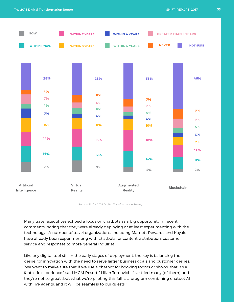

Source: Skift's 2018 Digital Transformation Survey

Many travel executives echoed a focus on chatbots as a big opportunity in recent comments, noting that they were already deploying or at least experimenting with the technology. A number of travel organizations, including Marriott Rewards and Kayak, have already been experimenting with chatbots for content distribution, customer service and responses to more general inquiries.

Like any digital tool still in the early stages of deployment, the key is balancing the desire for innovation with the need to serve larger business goals and customer desires. "We want to make sure that if we use a chatbot for booking rooms or shows, that it's a fantastic experience," said MGM Resorts' Lilian Tomovich. "I've tried many [of them] and they're not so great...but what we're piloting this fall is a program combining chatbot AI with live agents, and it will be seamless to our guests."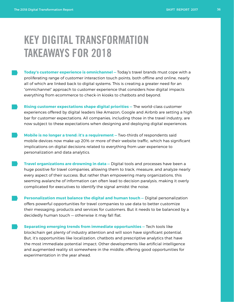### KEY DIGITAL TRANSFORMATION TAKEAWAYS FOR 2018

- **Today's customer experience is omnichannel** Today's travel brands must cope with a proliferating range of customer interaction touch points, both offline and online, nearly all of which are linked back to digital systems. This is creating a greater need for an "omnichannel" approach to customer experience that considers how digital impacts everything from ecommerce to check-in kiosks to chatbots and beyond.
	- **Rising customer expectations shape digital priorities —** The world-class customer experiences offered by digital leaders like Amazon, Google and Airbnb are setting a high bar for customer expectations. All companies, including those in the travel industry, are now subject to these expectations when designing and deploying digital experiences.
- **Mobile is no longer a trend: it's a requirement** Two-thirds of respondents said mobile devices now make up 20% or more of their website traffic, which has significant implications on digital decisions related to everything from user experience to personalization and data analytics.
- **Travel organizations are drowning in data —** Digital tools and processes have been a huge positive for travel companies, allowing them to track, measure, and analyze nearly every aspect of their success. But rather than empowering many organizations, this seeming avalanche of information can often lead to decision paralysis, making it overly complicated for executives to identify the signal amidst the noise.
- **Personalization must balance the digital and human touch —** Digital personalization offers powerful opportunities for travel companies to use data to better customize their messaging, products and services for customers. But it needs to be balanced by a decidedly human touch — otherwise it may fall flat.
- **Separating emerging trends from immediate opportunities —** Tech tools like blockchain get plenty of industry attention and will soon have significant potential. But, it's opportunities like localization, chatbots and prescriptive analytics that have the most immediate potential impact. Other developments like artificial intelligence and augmented reality sit somewhere in the middle, offering good opportunities for experimentation in the year ahead.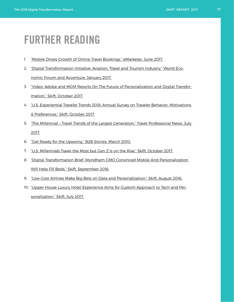# FURTHER READING

- 1. ["Mobile Drives Growth of Online Travel Bookings," eMarketer, June 2017.](https://www.emarketer.com/Article/Mobile-Drives-Growth-of-Online-Travel-Bookings/1016053)
- 2. ["Digital Transformation Initiative: Aviation, Travel and Tourism Industry," World Eco](http://reports.weforum.org/digital-transformation/wp-content/blogs.dir/94/mp/files/pages/files/wef-dti-aviation-travel-and-tourism-white-paper.pdf)[nomic Forum and Accenture, January 2017.](http://reports.weforum.org/digital-transformation/wp-content/blogs.dir/94/mp/files/pages/files/wef-dti-aviation-travel-and-tourism-white-paper.pdf)
- 3. ["Video: Adobe and MGM Resorts On The Future of Personalization and Digital Transfor](https://skift.com/2017/10/23/video-adobe-and-mgm-resorts-on-the-future-of-personalization-and-digital-transformation/)[mation," Skift, October 2017.](https://skift.com/2017/10/23/video-adobe-and-mgm-resorts-on-the-future-of-personalization-and-digital-transformation/)
- 4. "[U.S. Experiential Traveler Trends 2018: Annual Survey on Traveler Behavior, Motivations](https://research.skift.com/reports/u-s-experiential-traveler-trends-2018/)  [& Preferences," Skift, October 2017.](https://research.skift.com/reports/u-s-experiential-traveler-trends-2018/)
- 5. The Millennial Travel Trends of the Largest Generation," Travel Professional News, July [2017.](https://www.travelprofessionalnews.com/the-millennial-travel-trends-of-the-largest-generation-july-2017/)
- 6. ["Get Ready for the Upswing," B2B Stories, March 2010,](http://b2bstories.com/?p=35)
- 7. ["U.S. Millennials Travel the Most but Gen Z Is on the Rise," Skift, October 2017.](https://skift.com/2017/10/02/u-s-millennials-travel-the-most-but-gen-z-is-on-the-rise/)
- 8. ["Digital Transformation Brief: Wyndham CMO Convinced Mobile And Personalization](https://skift.com/2016/09/12/digital-transformation-brief-wyndham-cmo-convinced-mobile-and-personalization-will-help-fill-beds/)  [Will Help Fill Beds," Skift, September 2016.](https://skift.com/2016/09/12/digital-transformation-brief-wyndham-cmo-convinced-mobile-and-personalization-will-help-fill-beds/)
- 9. ["Low-Cost Airlines Make Big Bets on Data and Personalization," Skift, August 2016,](https://skift.com/2016/08/18/low-cost-airlines-make-big-bets-on-data-and-personalization/)
- 10. ["Upper House Luxury Hotel Experience Aims for Custom Approach to Tech and Per](https://skift.com/2017/07/07/upper-house-luxury-hotel-experience-aims-for-custom-approach-to-tech-and-personalization/)[sonalization," Skift, July 2017,](https://skift.com/2017/07/07/upper-house-luxury-hotel-experience-aims-for-custom-approach-to-tech-and-personalization/)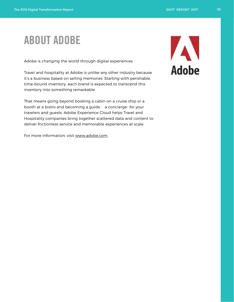# ABOUT ADOBE

Adobe is changing the world through digital experiences.

Travel and hospitality at Adobe is unlike any other industry because it's a business based on selling memories. Starting with perishable, time-bound inventory, each brand is expected to transcend this inventory into something remarkable.

That means going beyond booking a cabin on a cruise ship or a booth at a bistro and becoming a guide - a concierge- for your travelers and guests. Adobe Experience Cloud helps Travel and Hospitality companies bring together scattered data and content to deliver frictionless service and memorable experiences at scale.

For more information, visit [www.adobe.com](http://www.adobe.com/).